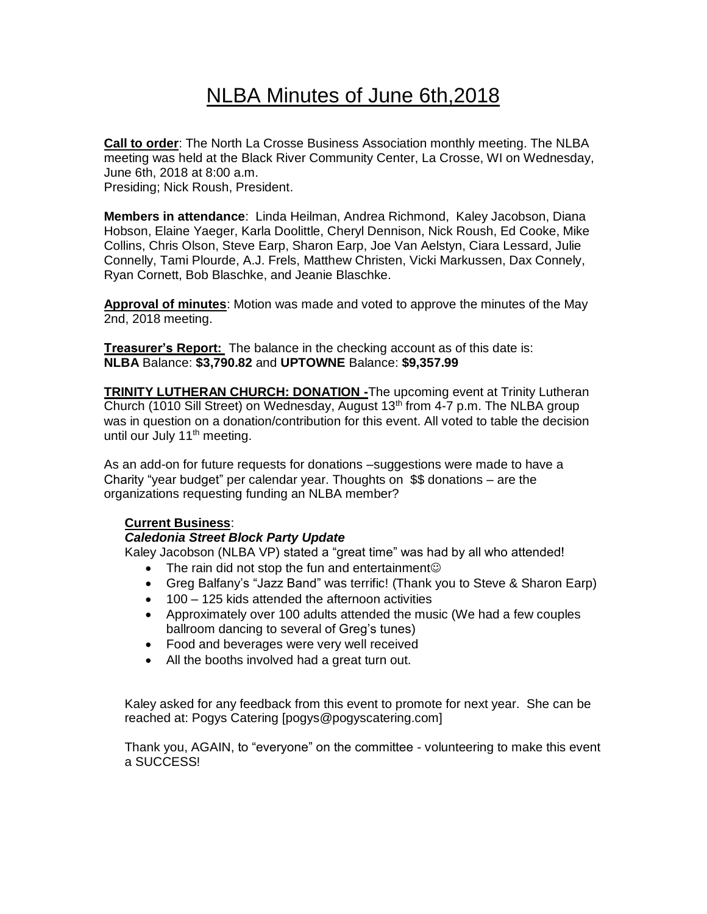# NLBA Minutes of June 6th,2018

**Call to order**: The North La Crosse Business Association monthly meeting. The NLBA meeting was held at the Black River Community Center, La Crosse, WI on Wednesday, June 6th, 2018 at 8:00 a.m. Presiding; Nick Roush, President.

**Members in attendance**: Linda Heilman, Andrea Richmond, Kaley Jacobson, Diana Hobson, Elaine Yaeger, Karla Doolittle, Cheryl Dennison, Nick Roush, Ed Cooke, Mike Collins, Chris Olson, Steve Earp, Sharon Earp, Joe Van Aelstyn, Ciara Lessard, Julie Connelly, Tami Plourde, A.J. Frels, Matthew Christen, Vicki Markussen, Dax Connely,

**Approval of minutes**: Motion was made and voted to approve the minutes of the May 2nd, 2018 meeting.

**Treasurer's Report:** The balance in the checking account as of this date is: **NLBA** Balance: **\$3,790.82** and **UPTOWNE** Balance: **\$9,357.99**

**TRINITY LUTHERAN CHURCH: DONATION -**The upcoming event at Trinity Lutheran Church (1010 Sill Street) on Wednesday, August  $13<sup>th</sup>$  from 4-7 p.m. The NLBA group was in question on a donation/contribution for this event. All voted to table the decision until our July 11<sup>th</sup> meeting.

As an add-on for future requests for donations –suggestions were made to have a Charity "year budget" per calendar year. Thoughts on \$\$ donations – are the organizations requesting funding an NLBA member?

## **Current Business**:

## *Caledonia Street Block Party Update*

Ryan Cornett, Bob Blaschke, and Jeanie Blaschke.

Kaley Jacobson (NLBA VP) stated a "great time" was had by all who attended!

- The rain did not stop the fun and entertainment
- Greg Balfany's "Jazz Band" was terrific! (Thank you to Steve & Sharon Earp)
- 100 125 kids attended the afternoon activities
- Approximately over 100 adults attended the music (We had a few couples ballroom dancing to several of Greg's tunes)
- Food and beverages were very well received
- All the booths involved had a great turn out.

Kaley asked for any feedback from this event to promote for next year. She can be reached at: Pogys Catering [pogys@pogyscatering.com]

Thank you, AGAIN, to "everyone" on the committee - volunteering to make this event a SUCCESS!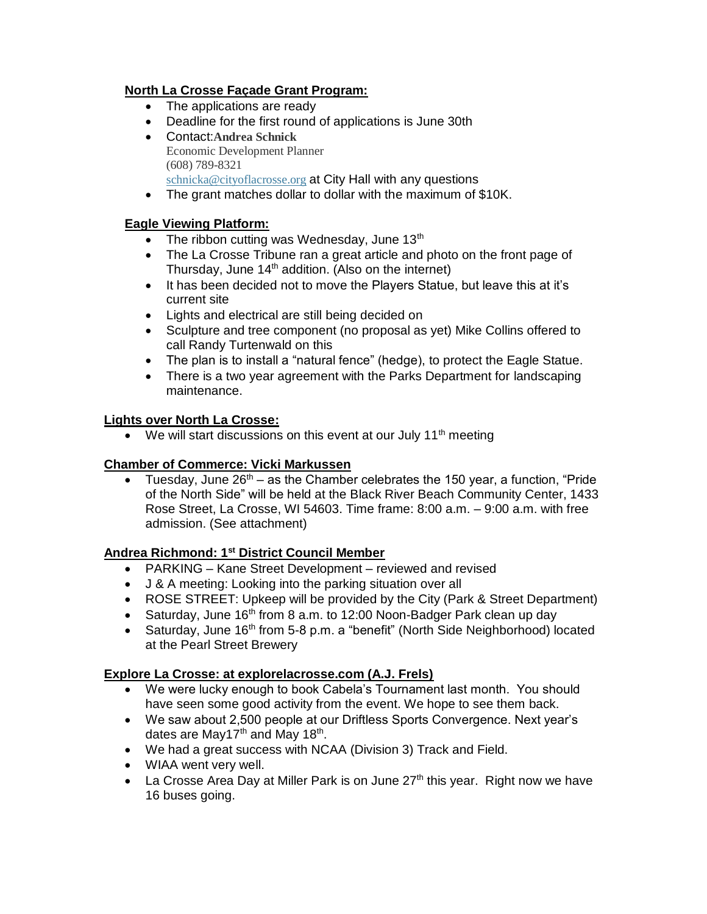## **North La Crosse Façade Grant Program:**

- The applications are ready
- Deadline for the first round of applications is June 30th
- Contact:**Andrea Schnick** Economic Development Planner (608) 789-8321 [schnicka@cityoflacrosse.org](mailto:schnicka@cityoflacrosse.org) at City Hall with any questions
- The grant matches dollar to dollar with the maximum of \$10K.

## **Eagle Viewing Platform:**

- The ribbon cutting was Wednesday, June  $13<sup>th</sup>$
- The La Crosse Tribune ran a great article and photo on the front page of Thursday, June  $14<sup>th</sup>$  addition. (Also on the internet)
- It has been decided not to move the Players Statue, but leave this at it's current site
- Lights and electrical are still being decided on
- Sculpture and tree component (no proposal as yet) Mike Collins offered to call Randy Turtenwald on this
- The plan is to install a "natural fence" (hedge), to protect the Eagle Statue.
- There is a two year agreement with the Parks Department for landscaping maintenance.

#### **Lights over North La Crosse:**

• We will start discussions on this event at our July 11<sup>th</sup> meeting

## **Chamber of Commerce: Vicki Markussen**

• Tuesday, June  $26<sup>th</sup> - as$  the Chamber celebrates the 150 year, a function, "Pride of the North Side" will be held at the Black River Beach Community Center, 1433 Rose Street, La Crosse, WI 54603. Time frame: 8:00 a.m. – 9:00 a.m. with free admission. (See attachment)

## **Andrea Richmond: 1st District Council Member**

- PARKING Kane Street Development reviewed and revised
- J & A meeting: Looking into the parking situation over all
- ROSE STREET: Upkeep will be provided by the City (Park & Street Department)
- Saturday, June 16<sup>th</sup> from 8 a.m. to 12:00 Noon-Badger Park clean up day
- Saturday, June 16<sup>th</sup> from 5-8 p.m. a "benefit" (North Side Neighborhood) located at the Pearl Street Brewery

#### **Explore La Crosse: at explorelacrosse.com (A.J. Frels)**

- We were lucky enough to book Cabela's Tournament last month. You should have seen some good activity from the event. We hope to see them back.
- We saw about 2,500 people at our Driftless Sports Convergence. Next year's dates are May17<sup>th</sup> and May 18<sup>th</sup>.
- We had a great success with NCAA (Division 3) Track and Field.
- WIAA went very well.
- La Crosse Area Day at Miller Park is on June  $27<sup>th</sup>$  this year. Right now we have 16 buses going.